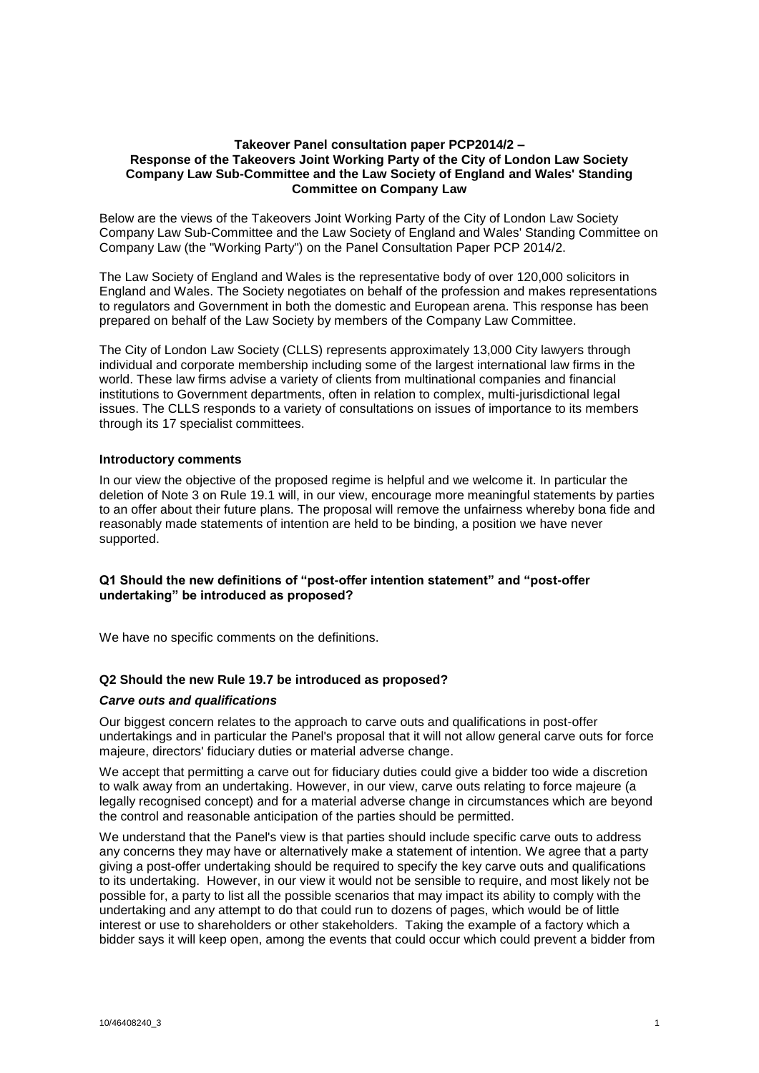# **Takeover Panel consultation paper PCP2014/2 – Response of the Takeovers Joint Working Party of the City of London Law Society Company Law Sub-Committee and the Law Society of England and Wales' Standing Committee on Company Law**

Below are the views of the Takeovers Joint Working Party of the City of London Law Society Company Law Sub-Committee and the Law Society of England and Wales' Standing Committee on Company Law (the "Working Party") on the Panel Consultation Paper PCP 2014/2.

The Law Society of England and Wales is the representative body of over 120,000 solicitors in England and Wales. The Society negotiates on behalf of the profession and makes representations to regulators and Government in both the domestic and European arena. This response has been prepared on behalf of the Law Society by members of the Company Law Committee.

The City of London Law Society (CLLS) represents approximately 13,000 City lawyers through individual and corporate membership including some of the largest international law firms in the world. These law firms advise a variety of clients from multinational companies and financial institutions to Government departments, often in relation to complex, multi-jurisdictional legal issues. The CLLS responds to a variety of consultations on issues of importance to its members through its 17 specialist committees.

# **Introductory comments**

In our view the objective of the proposed regime is helpful and we welcome it. In particular the deletion of Note 3 on Rule 19.1 will, in our view, encourage more meaningful statements by parties to an offer about their future plans. The proposal will remove the unfairness whereby bona fide and reasonably made statements of intention are held to be binding, a position we have never supported.

# **Q1 Should the new definitions of "post-offer intention statement" and "post-offer undertaking" be introduced as proposed?**

We have no specific comments on the definitions.

# **Q2 Should the new Rule 19.7 be introduced as proposed?**

# *Carve outs and qualifications*

Our biggest concern relates to the approach to carve outs and qualifications in post-offer undertakings and in particular the Panel's proposal that it will not allow general carve outs for force majeure, directors' fiduciary duties or material adverse change.

We accept that permitting a carve out for fiduciary duties could give a bidder too wide a discretion to walk away from an undertaking. However, in our view, carve outs relating to force majeure (a legally recognised concept) and for a material adverse change in circumstances which are beyond the control and reasonable anticipation of the parties should be permitted.

We understand that the Panel's view is that parties should include specific carve outs to address any concerns they may have or alternatively make a statement of intention. We agree that a party giving a post-offer undertaking should be required to specify the key carve outs and qualifications to its undertaking. However, in our view it would not be sensible to require, and most likely not be possible for, a party to list all the possible scenarios that may impact its ability to comply with the undertaking and any attempt to do that could run to dozens of pages, which would be of little interest or use to shareholders or other stakeholders. Taking the example of a factory which a bidder says it will keep open, among the events that could occur which could prevent a bidder from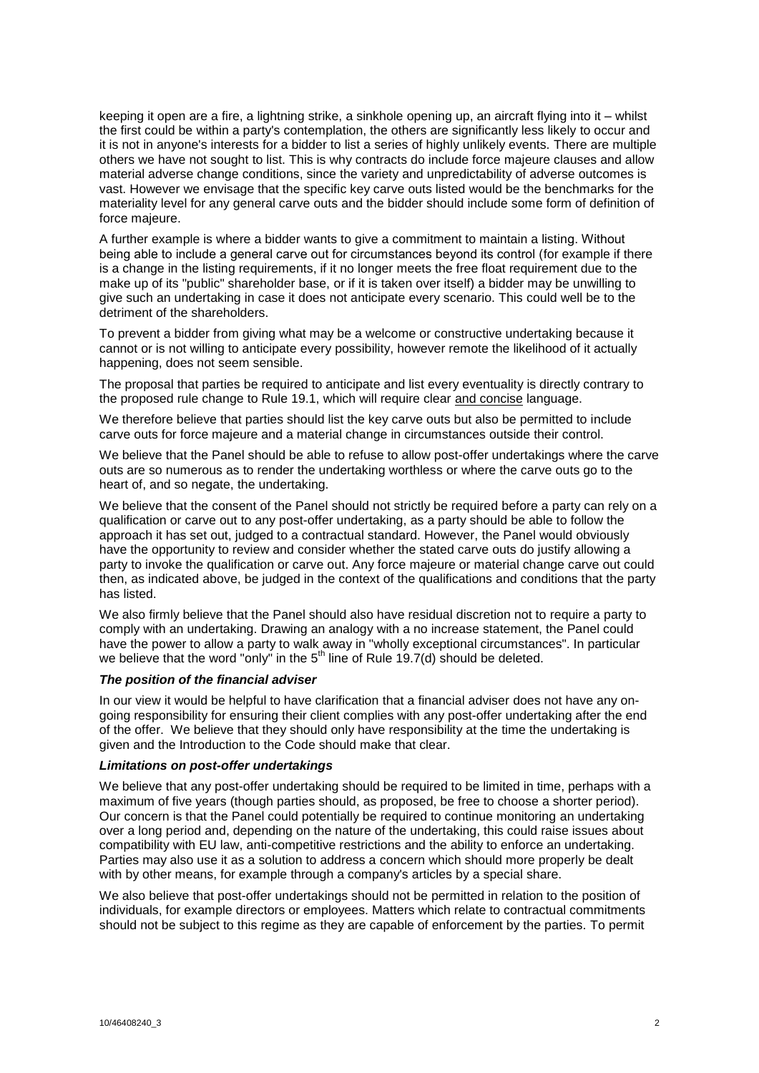keeping it open are a fire, a lightning strike, a sinkhole opening up, an aircraft flying into it – whilst the first could be within a party's contemplation, the others are significantly less likely to occur and it is not in anyone's interests for a bidder to list a series of highly unlikely events. There are multiple others we have not sought to list. This is why contracts do include force majeure clauses and allow material adverse change conditions, since the variety and unpredictability of adverse outcomes is vast. However we envisage that the specific key carve outs listed would be the benchmarks for the materiality level for any general carve outs and the bidder should include some form of definition of force majeure.

A further example is where a bidder wants to give a commitment to maintain a listing. Without being able to include a general carve out for circumstances beyond its control (for example if there is a change in the listing requirements, if it no longer meets the free float requirement due to the make up of its "public" shareholder base, or if it is taken over itself) a bidder may be unwilling to give such an undertaking in case it does not anticipate every scenario. This could well be to the detriment of the shareholders.

To prevent a bidder from giving what may be a welcome or constructive undertaking because it cannot or is not willing to anticipate every possibility, however remote the likelihood of it actually happening, does not seem sensible.

The proposal that parties be required to anticipate and list every eventuality is directly contrary to the proposed rule change to Rule 19.1, which will require clear and concise language.

We therefore believe that parties should list the key carve outs but also be permitted to include carve outs for force majeure and a material change in circumstances outside their control.

We believe that the Panel should be able to refuse to allow post-offer undertakings where the carve outs are so numerous as to render the undertaking worthless or where the carve outs go to the heart of, and so negate, the undertaking.

We believe that the consent of the Panel should not strictly be required before a party can rely on a qualification or carve out to any post-offer undertaking, as a party should be able to follow the approach it has set out, judged to a contractual standard. However, the Panel would obviously have the opportunity to review and consider whether the stated carve outs do justify allowing a party to invoke the qualification or carve out. Any force majeure or material change carve out could then, as indicated above, be judged in the context of the qualifications and conditions that the party has listed.

We also firmly believe that the Panel should also have residual discretion not to require a party to comply with an undertaking. Drawing an analogy with a no increase statement, the Panel could have the power to allow a party to walk away in "wholly exceptional circumstances". In particular we believe that the word "only" in the 5<sup>th</sup> line of Rule 19.7(d) should be deleted.

# *The position of the financial adviser*

In our view it would be helpful to have clarification that a financial adviser does not have any ongoing responsibility for ensuring their client complies with any post-offer undertaking after the end of the offer. We believe that they should only have responsibility at the time the undertaking is given and the Introduction to the Code should make that clear.

# *Limitations on post-offer undertakings*

We believe that any post-offer undertaking should be required to be limited in time, perhaps with a maximum of five years (though parties should, as proposed, be free to choose a shorter period). Our concern is that the Panel could potentially be required to continue monitoring an undertaking over a long period and, depending on the nature of the undertaking, this could raise issues about compatibility with EU law, anti-competitive restrictions and the ability to enforce an undertaking. Parties may also use it as a solution to address a concern which should more properly be dealt with by other means, for example through a company's articles by a special share.

We also believe that post-offer undertakings should not be permitted in relation to the position of individuals, for example directors or employees. Matters which relate to contractual commitments should not be subject to this regime as they are capable of enforcement by the parties. To permit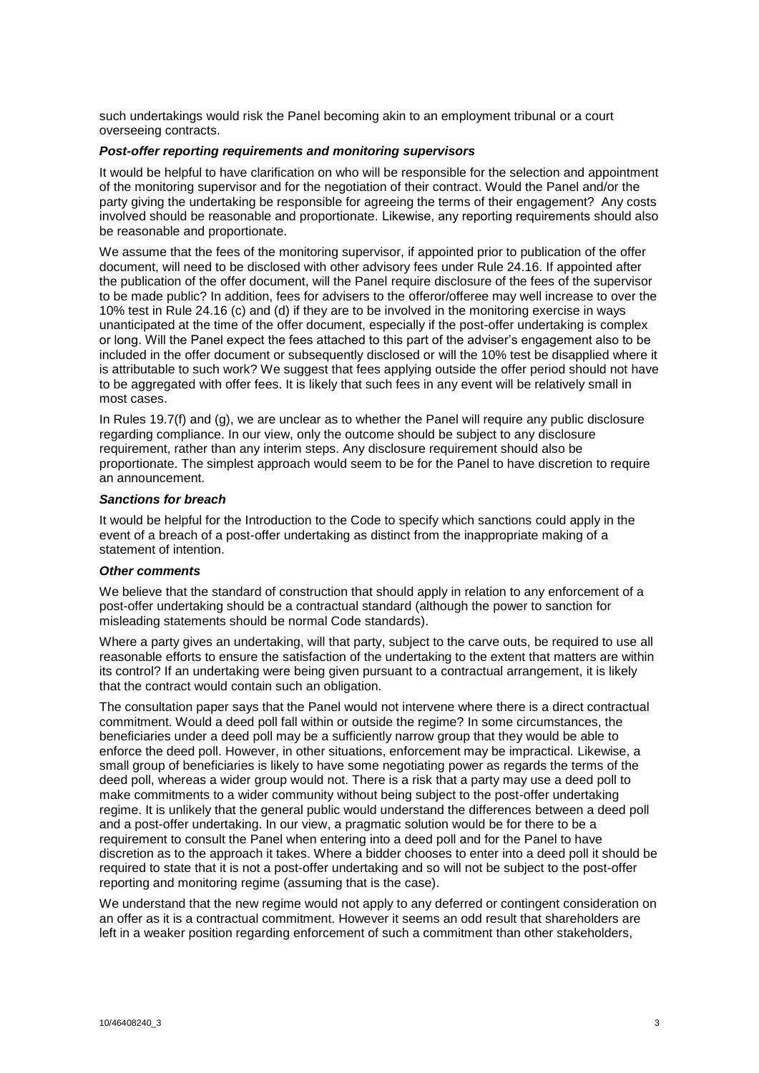such undertakings would risk the Panel becoming akin to an employment tribunal or a court overseeing contracts.

# *Post-offer reporting requirements and monitoring supervisors*

It would be helpful to have clarification on who will be responsible for the selection and appointment of the monitoring supervisor and for the negotiation of their contract. Would the Panel and/or the party giving the undertaking be responsible for agreeing the terms of their engagement? Any costs involved should be reasonable and proportionate. Likewise, any reporting requirements should also be reasonable and proportionate.

We assume that the fees of the monitoring supervisor, if appointed prior to publication of the offer document, will need to be disclosed with other advisory fees under Rule 24.16. If appointed after the publication of the offer document, will the Panel require disclosure of the fees of the supervisor to be made public? In addition, fees for advisers to the offeror/offeree may well increase to over the 10% test in Rule 24.16 (c) and (d) if they are to be involved in the monitoring exercise in ways unanticipated at the time of the offer document, especially if the post-offer undertaking is complex or long. Will the Panel expect the fees attached to this part of the adviser's engagement also to be included in the offer document or subsequently disclosed or will the 10% test be disapplied where it is attributable to such work? We suggest that fees applying outside the offer period should not have to be aggregated with offer fees. It is likely that such fees in any event will be relatively small in most cases.

In Rules 19.7(f) and (g), we are unclear as to whether the Panel will require any public disclosure regarding compliance. In our view, only the outcome should be subject to any disclosure requirement, rather than any interim steps. Any disclosure requirement should also be proportionate. The simplest approach would seem to be for the Panel to have discretion to require an announcement.

### *Sanctions for breach*

It would be helpful for the Introduction to the Code to specify which sanctions could apply in the event of a breach of a post-offer undertaking as distinct from the inappropriate making of a statement of intention.

### *Other comments*

We believe that the standard of construction that should apply in relation to any enforcement of a post-offer undertaking should be a contractual standard (although the power to sanction for misleading statements should be normal Code standards).

Where a party gives an undertaking, will that party, subject to the carve outs, be required to use all reasonable efforts to ensure the satisfaction of the undertaking to the extent that matters are within its control? If an undertaking were being given pursuant to a contractual arrangement, it is likely that the contract would contain such an obligation.

The consultation paper says that the Panel would not intervene where there is a direct contractual commitment. Would a deed poll fall within or outside the regime? In some circumstances, the beneficiaries under a deed poll may be a sufficiently narrow group that they would be able to enforce the deed poll. However, in other situations, enforcement may be impractical. Likewise, a small group of beneficiaries is likely to have some negotiating power as regards the terms of the deed poll, whereas a wider group would not. There is a risk that a party may use a deed poll to make commitments to a wider community without being subject to the post-offer undertaking regime. It is unlikely that the general public would understand the differences between a deed poll and a post-offer undertaking. In our view, a pragmatic solution would be for there to be a requirement to consult the Panel when entering into a deed poll and for the Panel to have discretion as to the approach it takes. Where a bidder chooses to enter into a deed poll it should be required to state that it is not a post-offer undertaking and so will not be subject to the post-offer reporting and monitoring regime (assuming that is the case).

We understand that the new regime would not apply to any deferred or contingent consideration on an offer as it is a contractual commitment. However it seems an odd result that shareholders are left in a weaker position regarding enforcement of such a commitment than other stakeholders,